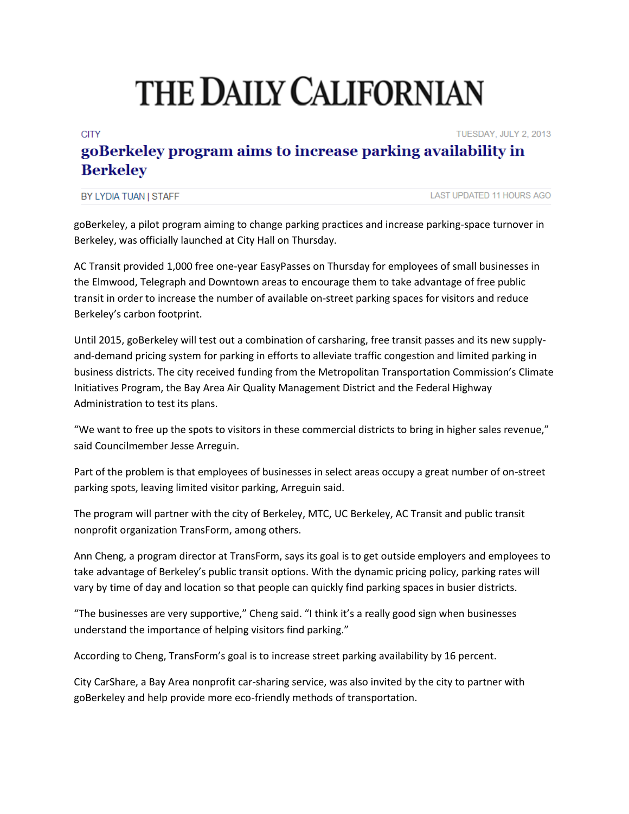## THE DAILY CALIFORNIAN

## **CITY** TUESDAY, JULY 2, 2013 goBerkeley program aims to increase parking availability in **Berkeley**

| BY LYDIA TUAN I STAFF |
|-----------------------|
|-----------------------|

goBerkeley, a pilot program aiming to change parking practices and increase parking-space turnover in Berkeley, was officially launched at City Hall on Thursday.

AC Transit provided 1,000 free one-year EasyPasses on Thursday for employees of small businesses in the Elmwood, Telegraph and Downtown areas to encourage them to take advantage of free public transit in order to increase the number of available on-street parking spaces for visitors and reduce Berkeley's carbon footprint.

Until 2015, goBerkeley will test out a combination of carsharing, free transit passes and its new supplyand-demand pricing system for parking in efforts to alleviate traffic congestion and limited parking in business districts. The city received funding from the Metropolitan Transportation Commission's Climate Initiatives Program, the Bay Area Air Quality Management District and the Federal Highway Administration to test its plans.

"We want to free up the spots to visitors in these commercial districts to bring in higher sales revenue," said Councilmember Jesse Arreguin.

Part of the problem is that employees of businesses in select areas occupy a great number of on-street parking spots, leaving limited visitor parking, Arreguin said.

The program will partner with the city of Berkeley, MTC, UC Berkeley, AC Transit and public transit nonprofit organization TransForm, among others.

Ann Cheng, a program director at TransForm, says its goal is to get outside employers and employees to take advantage of Berkeley's public transit options. With the dynamic pricing policy, parking rates will vary by time of day and location so that people can quickly find parking spaces in busier districts.

"The businesses are very supportive," Cheng said. "I think it's a really good sign when businesses understand the importance of helping visitors find parking."

According to Cheng, TransForm's goal is to increase street parking availability by 16 percent.

City CarShare, a Bay Area nonprofit car-sharing service, was also invited by the city to partner with goBerkeley and help provide more eco-friendly methods of transportation.